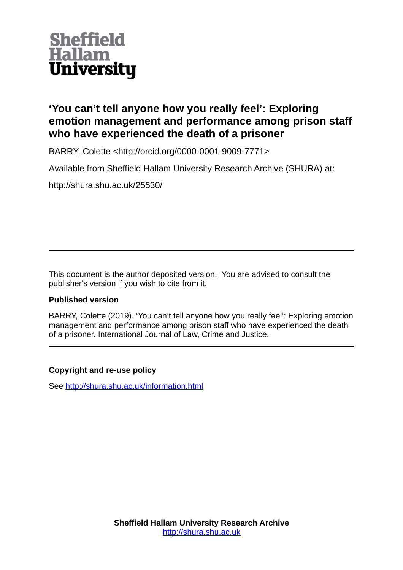

# **'You can't tell anyone how you really feel': Exploring emotion management and performance among prison staff who have experienced the death of a prisoner**

BARRY, Colette <http://orcid.org/0000-0001-9009-7771>

Available from Sheffield Hallam University Research Archive (SHURA) at:

http://shura.shu.ac.uk/25530/

This document is the author deposited version. You are advised to consult the publisher's version if you wish to cite from it.

# **Published version**

BARRY, Colette (2019). 'You can't tell anyone how you really feel': Exploring emotion management and performance among prison staff who have experienced the death of a prisoner. International Journal of Law, Crime and Justice.

# **Copyright and re-use policy**

See<http://shura.shu.ac.uk/information.html>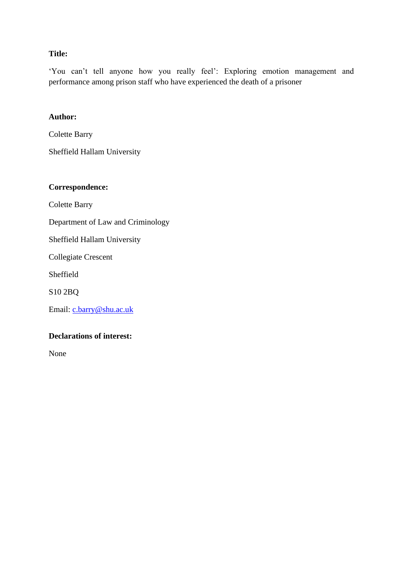# **Title:**

'You can't tell anyone how you really feel': Exploring emotion management and performance among prison staff who have experienced the death of a prisoner

# **Author:**

Colette Barry

Sheffield Hallam University

# **Correspondence:**

Colette Barry

Department of Law and Criminology

Sheffield Hallam University

Collegiate Crescent

Sheffield

S10 2BQ

Email: [c.barry@shu.ac.uk](mailto:c.barry@shu.ac.uk)

# **Declarations of interest:**

None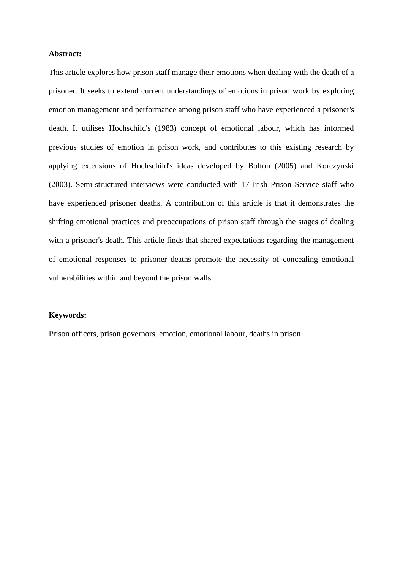### **Abstract:**

This article explores how prison staff manage their emotions when dealing with the death of a prisoner. It seeks to extend current understandings of emotions in prison work by exploring emotion management and performance among prison staff who have experienced a prisoner's death. It utilises Hochschild's (1983) concept of emotional labour, which has informed previous studies of emotion in prison work, and contributes to this existing research by applying extensions of Hochschild's ideas developed by Bolton (2005) and Korczynski (2003). Semi-structured interviews were conducted with 17 Irish Prison Service staff who have experienced prisoner deaths. A contribution of this article is that it demonstrates the shifting emotional practices and preoccupations of prison staff through the stages of dealing with a prisoner's death. This article finds that shared expectations regarding the management of emotional responses to prisoner deaths promote the necessity of concealing emotional vulnerabilities within and beyond the prison walls.

# **Keywords:**

Prison officers, prison governors, emotion, emotional labour, deaths in prison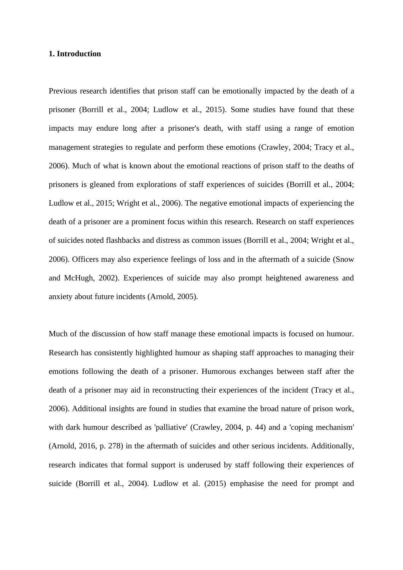### **1. Introduction**

Previous research identifies that prison staff can be emotionally impacted by the death of a prisoner (Borrill et al., 2004; Ludlow et al., 2015). Some studies have found that these impacts may endure long after a prisoner's death, with staff using a range of emotion management strategies to regulate and perform these emotions (Crawley, 2004; Tracy et al., 2006). Much of what is known about the emotional reactions of prison staff to the deaths of prisoners is gleaned from explorations of staff experiences of suicides (Borrill et al., 2004; Ludlow et al., 2015; Wright et al., 2006). The negative emotional impacts of experiencing the death of a prisoner are a prominent focus within this research. Research on staff experiences of suicides noted flashbacks and distress as common issues (Borrill et al., 2004; Wright et al., 2006). Officers may also experience feelings of loss and in the aftermath of a suicide (Snow and McHugh, 2002). Experiences of suicide may also prompt heightened awareness and anxiety about future incidents (Arnold, 2005).

Much of the discussion of how staff manage these emotional impacts is focused on humour. Research has consistently highlighted humour as shaping staff approaches to managing their emotions following the death of a prisoner. Humorous exchanges between staff after the death of a prisoner may aid in reconstructing their experiences of the incident (Tracy et al., 2006). Additional insights are found in studies that examine the broad nature of prison work, with dark humour described as 'palliative' (Crawley, 2004, p. 44) and a 'coping mechanism' (Arnold, 2016, p. 278) in the aftermath of suicides and other serious incidents. Additionally, research indicates that formal support is underused by staff following their experiences of suicide (Borrill et al., 2004). Ludlow et al. (2015) emphasise the need for prompt and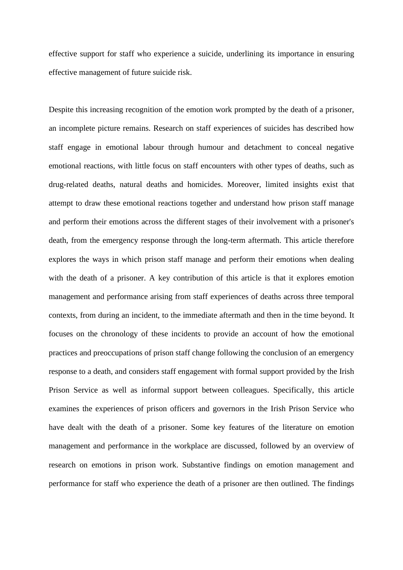effective support for staff who experience a suicide, underlining its importance in ensuring effective management of future suicide risk.

Despite this increasing recognition of the emotion work prompted by the death of a prisoner, an incomplete picture remains. Research on staff experiences of suicides has described how staff engage in emotional labour through humour and detachment to conceal negative emotional reactions, with little focus on staff encounters with other types of deaths, such as drug-related deaths, natural deaths and homicides. Moreover, limited insights exist that attempt to draw these emotional reactions together and understand how prison staff manage and perform their emotions across the different stages of their involvement with a prisoner's death, from the emergency response through the long-term aftermath. This article therefore explores the ways in which prison staff manage and perform their emotions when dealing with the death of a prisoner. A key contribution of this article is that it explores emotion management and performance arising from staff experiences of deaths across three temporal contexts, from during an incident, to the immediate aftermath and then in the time beyond. It focuses on the chronology of these incidents to provide an account of how the emotional practices and preoccupations of prison staff change following the conclusion of an emergency response to a death, and considers staff engagement with formal support provided by the Irish Prison Service as well as informal support between colleagues. Specifically, this article examines the experiences of prison officers and governors in the Irish Prison Service who have dealt with the death of a prisoner. Some key features of the literature on emotion management and performance in the workplace are discussed, followed by an overview of research on emotions in prison work. Substantive findings on emotion management and performance for staff who experience the death of a prisoner are then outlined. The findings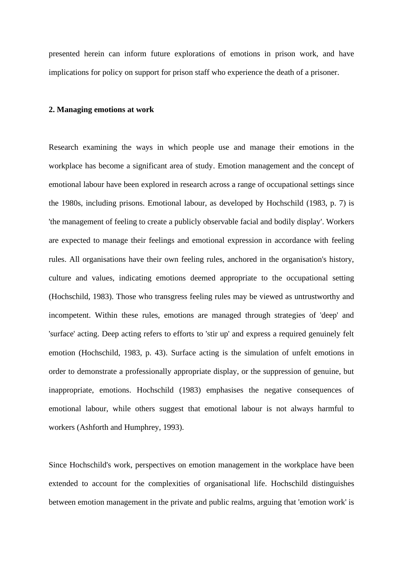presented herein can inform future explorations of emotions in prison work, and have implications for policy on support for prison staff who experience the death of a prisoner.

### **2. Managing emotions at work**

Research examining the ways in which people use and manage their emotions in the workplace has become a significant area of study. Emotion management and the concept of emotional labour have been explored in research across a range of occupational settings since the 1980s, including prisons. Emotional labour, as developed by Hochschild (1983, p. 7) is 'the management of feeling to create a publicly observable facial and bodily display'. Workers are expected to manage their feelings and emotional expression in accordance with feeling rules. All organisations have their own feeling rules, anchored in the organisation's history, culture and values, indicating emotions deemed appropriate to the occupational setting (Hochschild, 1983). Those who transgress feeling rules may be viewed as untrustworthy and incompetent. Within these rules, emotions are managed through strategies of 'deep' and 'surface' acting. Deep acting refers to efforts to 'stir up' and express a required genuinely felt emotion (Hochschild, 1983, p. 43). Surface acting is the simulation of unfelt emotions in order to demonstrate a professionally appropriate display, or the suppression of genuine, but inappropriate, emotions. Hochschild (1983) emphasises the negative consequences of emotional labour, while others suggest that emotional labour is not always harmful to workers (Ashforth and Humphrey, 1993).

Since Hochschild's work, perspectives on emotion management in the workplace have been extended to account for the complexities of organisational life. Hochschild distinguishes between emotion management in the private and public realms, arguing that 'emotion work' is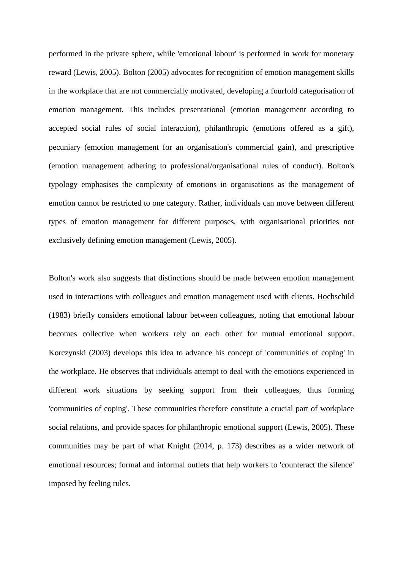performed in the private sphere, while 'emotional labour' is performed in work for monetary reward (Lewis, 2005). Bolton (2005) advocates for recognition of emotion management skills in the workplace that are not commercially motivated, developing a fourfold categorisation of emotion management. This includes presentational (emotion management according to accepted social rules of social interaction), philanthropic (emotions offered as a gift), pecuniary (emotion management for an organisation's commercial gain), and prescriptive (emotion management adhering to professional/organisational rules of conduct). Bolton's typology emphasises the complexity of emotions in organisations as the management of emotion cannot be restricted to one category. Rather, individuals can move between different types of emotion management for different purposes, with organisational priorities not exclusively defining emotion management (Lewis, 2005).

Bolton's work also suggests that distinctions should be made between emotion management used in interactions with colleagues and emotion management used with clients. Hochschild (1983) briefly considers emotional labour between colleagues, noting that emotional labour becomes collective when workers rely on each other for mutual emotional support. Korczynski (2003) develops this idea to advance his concept of 'communities of coping' in the workplace. He observes that individuals attempt to deal with the emotions experienced in different work situations by seeking support from their colleagues, thus forming 'communities of coping'. These communities therefore constitute a crucial part of workplace social relations, and provide spaces for philanthropic emotional support (Lewis, 2005). These communities may be part of what Knight (2014, p. 173) describes as a wider network of emotional resources; formal and informal outlets that help workers to 'counteract the silence' imposed by feeling rules.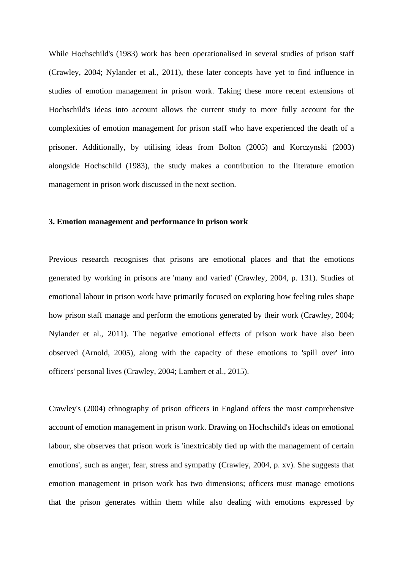While Hochschild's (1983) work has been operationalised in several studies of prison staff (Crawley, 2004; Nylander et al., 2011), these later concepts have yet to find influence in studies of emotion management in prison work. Taking these more recent extensions of Hochschild's ideas into account allows the current study to more fully account for the complexities of emotion management for prison staff who have experienced the death of a prisoner. Additionally, by utilising ideas from Bolton (2005) and Korczynski (2003) alongside Hochschild (1983), the study makes a contribution to the literature emotion management in prison work discussed in the next section.

#### **3. Emotion management and performance in prison work**

Previous research recognises that prisons are emotional places and that the emotions generated by working in prisons are 'many and varied' (Crawley, 2004, p. 131). Studies of emotional labour in prison work have primarily focused on exploring how feeling rules shape how prison staff manage and perform the emotions generated by their work (Crawley, 2004; Nylander et al., 2011). The negative emotional effects of prison work have also been observed (Arnold, 2005), along with the capacity of these emotions to 'spill over' into officers' personal lives (Crawley, 2004; Lambert et al., 2015).

Crawley's (2004) ethnography of prison officers in England offers the most comprehensive account of emotion management in prison work. Drawing on Hochschild's ideas on emotional labour, she observes that prison work is 'inextricably tied up with the management of certain emotions', such as anger, fear, stress and sympathy (Crawley, 2004, p. xv). She suggests that emotion management in prison work has two dimensions; officers must manage emotions that the prison generates within them while also dealing with emotions expressed by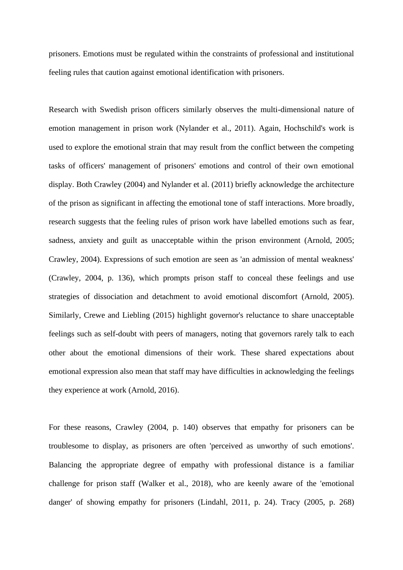prisoners. Emotions must be regulated within the constraints of professional and institutional feeling rules that caution against emotional identification with prisoners.

Research with Swedish prison officers similarly observes the multi-dimensional nature of emotion management in prison work (Nylander et al., 2011). Again, Hochschild's work is used to explore the emotional strain that may result from the conflict between the competing tasks of officers' management of prisoners' emotions and control of their own emotional display. Both Crawley (2004) and Nylander et al. (2011) briefly acknowledge the architecture of the prison as significant in affecting the emotional tone of staff interactions. More broadly, research suggests that the feeling rules of prison work have labelled emotions such as fear, sadness, anxiety and guilt as unacceptable within the prison environment (Arnold, 2005; Crawley, 2004). Expressions of such emotion are seen as 'an admission of mental weakness' (Crawley, 2004, p. 136), which prompts prison staff to conceal these feelings and use strategies of dissociation and detachment to avoid emotional discomfort (Arnold, 2005). Similarly, Crewe and Liebling (2015) highlight governor's reluctance to share unacceptable feelings such as self-doubt with peers of managers, noting that governors rarely talk to each other about the emotional dimensions of their work. These shared expectations about emotional expression also mean that staff may have difficulties in acknowledging the feelings they experience at work (Arnold, 2016).

For these reasons, Crawley (2004, p. 140) observes that empathy for prisoners can be troublesome to display, as prisoners are often 'perceived as unworthy of such emotions'. Balancing the appropriate degree of empathy with professional distance is a familiar challenge for prison staff (Walker et al., 2018), who are keenly aware of the 'emotional danger' of showing empathy for prisoners (Lindahl, 2011, p. 24). Tracy (2005, p. 268)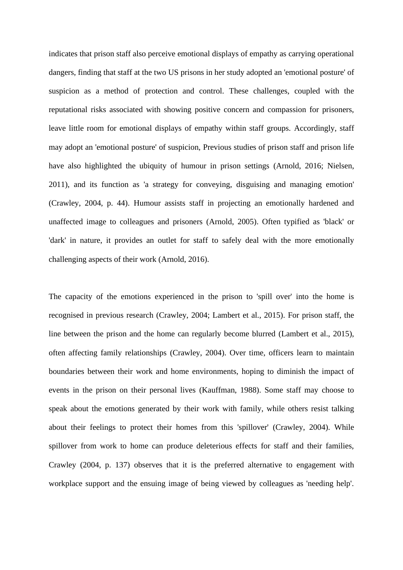indicates that prison staff also perceive emotional displays of empathy as carrying operational dangers, finding that staff at the two US prisons in her study adopted an 'emotional posture' of suspicion as a method of protection and control. These challenges, coupled with the reputational risks associated with showing positive concern and compassion for prisoners, leave little room for emotional displays of empathy within staff groups. Accordingly, staff may adopt an 'emotional posture' of suspicion, Previous studies of prison staff and prison life have also highlighted the ubiquity of humour in prison settings (Arnold, 2016; Nielsen, 2011), and its function as 'a strategy for conveying, disguising and managing emotion' (Crawley, 2004, p. 44). Humour assists staff in projecting an emotionally hardened and unaffected image to colleagues and prisoners (Arnold, 2005). Often typified as 'black' or 'dark' in nature, it provides an outlet for staff to safely deal with the more emotionally challenging aspects of their work (Arnold, 2016).

The capacity of the emotions experienced in the prison to 'spill over' into the home is recognised in previous research (Crawley, 2004; Lambert et al., 2015). For prison staff, the line between the prison and the home can regularly become blurred (Lambert et al., 2015), often affecting family relationships (Crawley, 2004). Over time, officers learn to maintain boundaries between their work and home environments, hoping to diminish the impact of events in the prison on their personal lives (Kauffman, 1988). Some staff may choose to speak about the emotions generated by their work with family, while others resist talking about their feelings to protect their homes from this 'spillover' (Crawley, 2004). While spillover from work to home can produce deleterious effects for staff and their families, Crawley (2004, p. 137) observes that it is the preferred alternative to engagement with workplace support and the ensuing image of being viewed by colleagues as 'needing help'.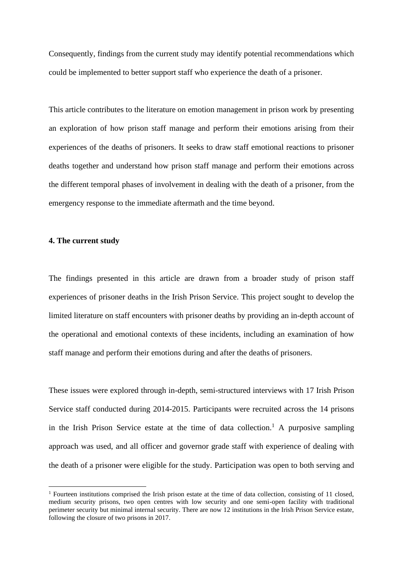Consequently, findings from the current study may identify potential recommendations which could be implemented to better support staff who experience the death of a prisoner.

This article contributes to the literature on emotion management in prison work by presenting an exploration of how prison staff manage and perform their emotions arising from their experiences of the deaths of prisoners. It seeks to draw staff emotional reactions to prisoner deaths together and understand how prison staff manage and perform their emotions across the different temporal phases of involvement in dealing with the death of a prisoner, from the emergency response to the immediate aftermath and the time beyond.

#### **4. The current study**

The findings presented in this article are drawn from a broader study of prison staff experiences of prisoner deaths in the Irish Prison Service. This project sought to develop the limited literature on staff encounters with prisoner deaths by providing an in-depth account of the operational and emotional contexts of these incidents, including an examination of how staff manage and perform their emotions during and after the deaths of prisoners.

These issues were explored through in-depth, semi-structured interviews with 17 Irish Prison Service staff conducted during 2014-2015. Participants were recruited across the 14 prisons in the Irish Prison Service estate at the time of data collection.<sup>1</sup> A purposive sampling approach was used, and all officer and governor grade staff with experience of dealing with the death of a prisoner were eligible for the study. Participation was open to both serving and

 $1$  Fourteen institutions comprised the Irish prison estate at the time of data collection, consisting of 11 closed, medium security prisons, two open centres with low security and one semi-open facility with traditional perimeter security but minimal internal security. There are now 12 institutions in the Irish Prison Service estate, following the closure of two prisons in 2017.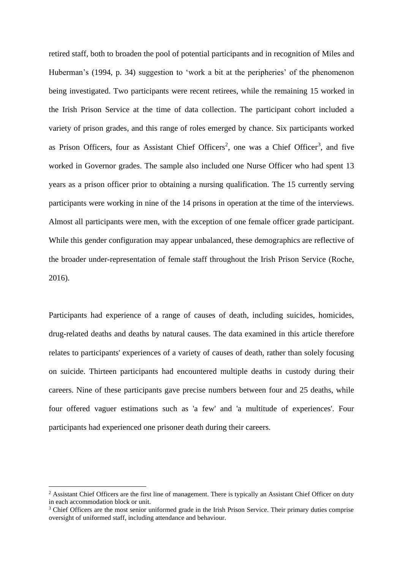retired staff, both to broaden the pool of potential participants and in recognition of Miles and Huberman's (1994, p. 34) suggestion to 'work a bit at the peripheries' of the phenomenon being investigated. Two participants were recent retirees, while the remaining 15 worked in the Irish Prison Service at the time of data collection. The participant cohort included a variety of prison grades, and this range of roles emerged by chance. Six participants worked as Prison Officers, four as Assistant Chief Officers<sup>2</sup>, one was a Chief Officer<sup>3</sup>, and five worked in Governor grades. The sample also included one Nurse Officer who had spent 13 years as a prison officer prior to obtaining a nursing qualification. The 15 currently serving participants were working in nine of the 14 prisons in operation at the time of the interviews. Almost all participants were men, with the exception of one female officer grade participant. While this gender configuration may appear unbalanced, these demographics are reflective of the broader under-representation of female staff throughout the Irish Prison Service (Roche, 2016).

Participants had experience of a range of causes of death, including suicides, homicides, drug-related deaths and deaths by natural causes. The data examined in this article therefore relates to participants' experiences of a variety of causes of death, rather than solely focusing on suicide. Thirteen participants had encountered multiple deaths in custody during their careers. Nine of these participants gave precise numbers between four and 25 deaths, while four offered vaguer estimations such as 'a few' and 'a multitude of experiences'. Four participants had experienced one prisoner death during their careers.

<sup>&</sup>lt;sup>2</sup> Assistant Chief Officers are the first line of management. There is typically an Assistant Chief Officer on duty in each accommodation block or unit.

<sup>&</sup>lt;sup>3</sup> Chief Officers are the most senior uniformed grade in the Irish Prison Service. Their primary duties comprise oversight of uniformed staff, including attendance and behaviour.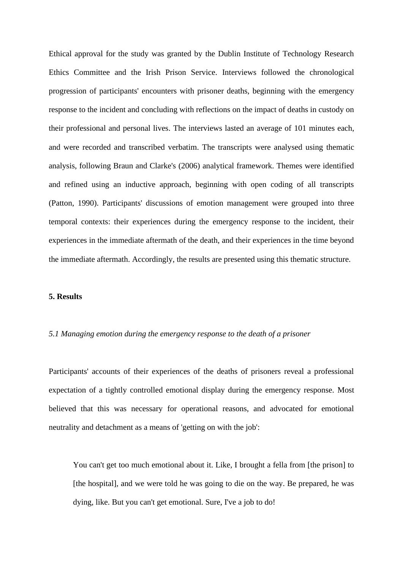Ethical approval for the study was granted by the Dublin Institute of Technology Research Ethics Committee and the Irish Prison Service. Interviews followed the chronological progression of participants' encounters with prisoner deaths, beginning with the emergency response to the incident and concluding with reflections on the impact of deaths in custody on their professional and personal lives. The interviews lasted an average of 101 minutes each, and were recorded and transcribed verbatim. The transcripts were analysed using thematic analysis, following Braun and Clarke's (2006) analytical framework. Themes were identified and refined using an inductive approach, beginning with open coding of all transcripts (Patton, 1990). Participants' discussions of emotion management were grouped into three temporal contexts: their experiences during the emergency response to the incident, their experiences in the immediate aftermath of the death, and their experiences in the time beyond the immediate aftermath. Accordingly, the results are presented using this thematic structure.

#### **5. Results**

### *5.1 Managing emotion during the emergency response to the death of a prisoner*

Participants' accounts of their experiences of the deaths of prisoners reveal a professional expectation of a tightly controlled emotional display during the emergency response. Most believed that this was necessary for operational reasons, and advocated for emotional neutrality and detachment as a means of 'getting on with the job':

You can't get too much emotional about it. Like, I brought a fella from [the prison] to [the hospital], and we were told he was going to die on the way. Be prepared, he was dying, like. But you can't get emotional. Sure, I've a job to do!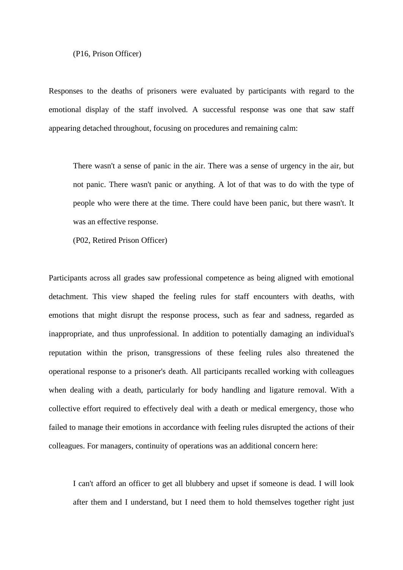#### (P16, Prison Officer)

Responses to the deaths of prisoners were evaluated by participants with regard to the emotional display of the staff involved. A successful response was one that saw staff appearing detached throughout, focusing on procedures and remaining calm:

There wasn't a sense of panic in the air. There was a sense of urgency in the air, but not panic. There wasn't panic or anything. A lot of that was to do with the type of people who were there at the time. There could have been panic, but there wasn't. It was an effective response.

(P02, Retired Prison Officer)

Participants across all grades saw professional competence as being aligned with emotional detachment. This view shaped the feeling rules for staff encounters with deaths, with emotions that might disrupt the response process, such as fear and sadness, regarded as inappropriate, and thus unprofessional. In addition to potentially damaging an individual's reputation within the prison, transgressions of these feeling rules also threatened the operational response to a prisoner's death. All participants recalled working with colleagues when dealing with a death, particularly for body handling and ligature removal. With a collective effort required to effectively deal with a death or medical emergency, those who failed to manage their emotions in accordance with feeling rules disrupted the actions of their colleagues. For managers, continuity of operations was an additional concern here:

I can't afford an officer to get all blubbery and upset if someone is dead. I will look after them and I understand, but I need them to hold themselves together right just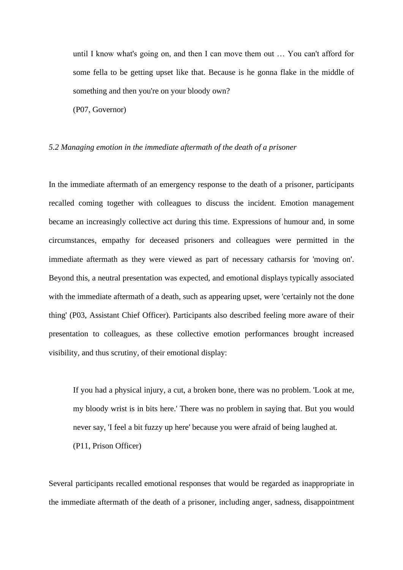until I know what's going on, and then I can move them out … You can't afford for some fella to be getting upset like that. Because is he gonna flake in the middle of something and then you're on your bloody own?

(P07, Governor)

#### *5.2 Managing emotion in the immediate aftermath of the death of a prisoner*

In the immediate aftermath of an emergency response to the death of a prisoner, participants recalled coming together with colleagues to discuss the incident. Emotion management became an increasingly collective act during this time. Expressions of humour and, in some circumstances, empathy for deceased prisoners and colleagues were permitted in the immediate aftermath as they were viewed as part of necessary catharsis for 'moving on'. Beyond this, a neutral presentation was expected, and emotional displays typically associated with the immediate aftermath of a death, such as appearing upset, were 'certainly not the done thing' (P03, Assistant Chief Officer). Participants also described feeling more aware of their presentation to colleagues, as these collective emotion performances brought increased visibility, and thus scrutiny, of their emotional display:

If you had a physical injury, a cut, a broken bone, there was no problem. 'Look at me, my bloody wrist is in bits here.' There was no problem in saying that. But you would never say, 'I feel a bit fuzzy up here' because you were afraid of being laughed at. (P11, Prison Officer)

Several participants recalled emotional responses that would be regarded as inappropriate in the immediate aftermath of the death of a prisoner, including anger, sadness, disappointment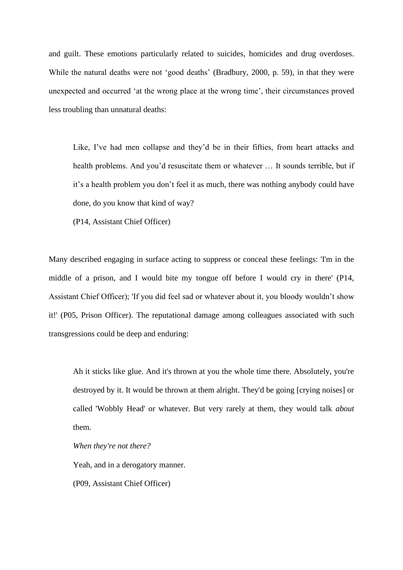and guilt. These emotions particularly related to suicides, homicides and drug overdoses. While the natural deaths were not 'good deaths' (Bradbury, 2000, p. 59), in that they were unexpected and occurred 'at the wrong place at the wrong time', their circumstances proved less troubling than unnatural deaths:

Like, I've had men collapse and they'd be in their fifties, from heart attacks and health problems. And you'd resuscitate them or whatever … It sounds terrible, but if it's a health problem you don't feel it as much, there was nothing anybody could have done, do you know that kind of way?

(P14, Assistant Chief Officer)

Many described engaging in surface acting to suppress or conceal these feelings: 'I'm in the middle of a prison, and I would bite my tongue off before I would cry in there' (P14, Assistant Chief Officer); 'If you did feel sad or whatever about it, you bloody wouldn't show it!' (P05, Prison Officer). The reputational damage among colleagues associated with such transgressions could be deep and enduring:

Ah it sticks like glue. And it's thrown at you the whole time there. Absolutely, you're destroyed by it. It would be thrown at them alright. They'd be going [crying noises] or called 'Wobbly Head' or whatever. But very rarely at them, they would talk *about* them.

*When they're not there?* 

Yeah, and in a derogatory manner.

(P09, Assistant Chief Officer)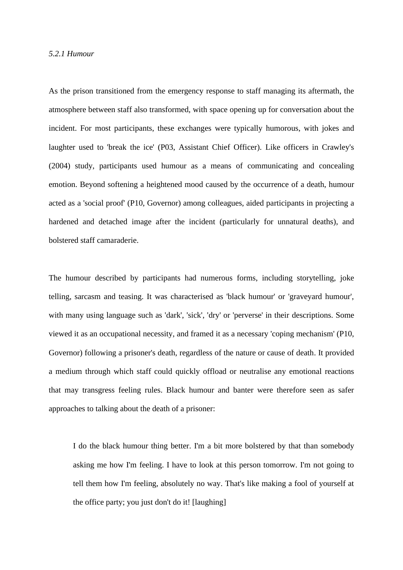#### *5.2.1 Humour*

As the prison transitioned from the emergency response to staff managing its aftermath, the atmosphere between staff also transformed, with space opening up for conversation about the incident. For most participants, these exchanges were typically humorous, with jokes and laughter used to 'break the ice' (P03, Assistant Chief Officer). Like officers in Crawley's (2004) study, participants used humour as a means of communicating and concealing emotion. Beyond softening a heightened mood caused by the occurrence of a death, humour acted as a 'social proof' (P10, Governor) among colleagues, aided participants in projecting a hardened and detached image after the incident (particularly for unnatural deaths), and bolstered staff camaraderie.

The humour described by participants had numerous forms, including storytelling, joke telling, sarcasm and teasing. It was characterised as 'black humour' or 'graveyard humour', with many using language such as 'dark', 'sick', 'dry' or 'perverse' in their descriptions. Some viewed it as an occupational necessity, and framed it as a necessary 'coping mechanism' (P10, Governor) following a prisoner's death, regardless of the nature or cause of death. It provided a medium through which staff could quickly offload or neutralise any emotional reactions that may transgress feeling rules. Black humour and banter were therefore seen as safer approaches to talking about the death of a prisoner:

I do the black humour thing better. I'm a bit more bolstered by that than somebody asking me how I'm feeling. I have to look at this person tomorrow. I'm not going to tell them how I'm feeling, absolutely no way. That's like making a fool of yourself at the office party; you just don't do it! [laughing]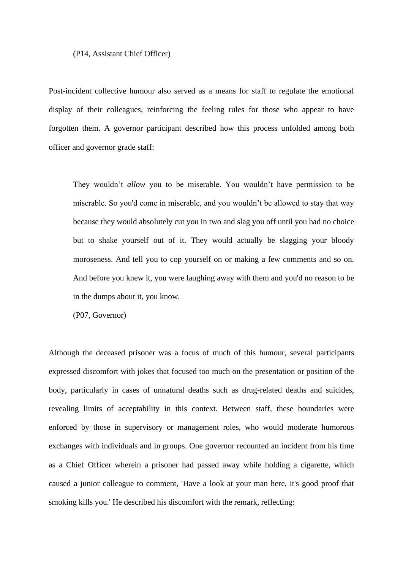#### (P14, Assistant Chief Officer)

Post-incident collective humour also served as a means for staff to regulate the emotional display of their colleagues, reinforcing the feeling rules for those who appear to have forgotten them. A governor participant described how this process unfolded among both officer and governor grade staff:

They wouldn't *allow* you to be miserable. You wouldn't have permission to be miserable. So you'd come in miserable, and you wouldn't be allowed to stay that way because they would absolutely cut you in two and slag you off until you had no choice but to shake yourself out of it. They would actually be slagging your bloody moroseness. And tell you to cop yourself on or making a few comments and so on. And before you knew it, you were laughing away with them and you'd no reason to be in the dumps about it, you know.

(P07, Governor)

Although the deceased prisoner was a focus of much of this humour, several participants expressed discomfort with jokes that focused too much on the presentation or position of the body, particularly in cases of unnatural deaths such as drug-related deaths and suicides, revealing limits of acceptability in this context. Between staff, these boundaries were enforced by those in supervisory or management roles, who would moderate humorous exchanges with individuals and in groups. One governor recounted an incident from his time as a Chief Officer wherein a prisoner had passed away while holding a cigarette, which caused a junior colleague to comment, 'Have a look at your man here, it's good proof that smoking kills you.' He described his discomfort with the remark, reflecting: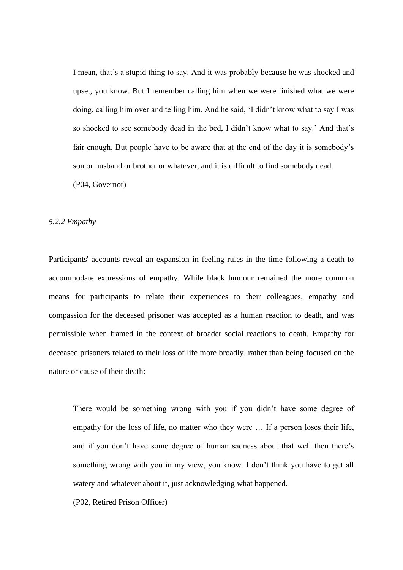I mean, that's a stupid thing to say. And it was probably because he was shocked and upset, you know. But I remember calling him when we were finished what we were doing, calling him over and telling him. And he said, 'I didn't know what to say I was so shocked to see somebody dead in the bed, I didn't know what to say.' And that's fair enough. But people have to be aware that at the end of the day it is somebody's son or husband or brother or whatever, and it is difficult to find somebody dead. (P04, Governor)

#### *5.2.2 Empathy*

Participants' accounts reveal an expansion in feeling rules in the time following a death to accommodate expressions of empathy. While black humour remained the more common means for participants to relate their experiences to their colleagues, empathy and compassion for the deceased prisoner was accepted as a human reaction to death, and was permissible when framed in the context of broader social reactions to death. Empathy for deceased prisoners related to their loss of life more broadly, rather than being focused on the nature or cause of their death:

There would be something wrong with you if you didn't have some degree of empathy for the loss of life, no matter who they were … If a person loses their life, and if you don't have some degree of human sadness about that well then there's something wrong with you in my view, you know. I don't think you have to get all watery and whatever about it, just acknowledging what happened.

(P02, Retired Prison Officer)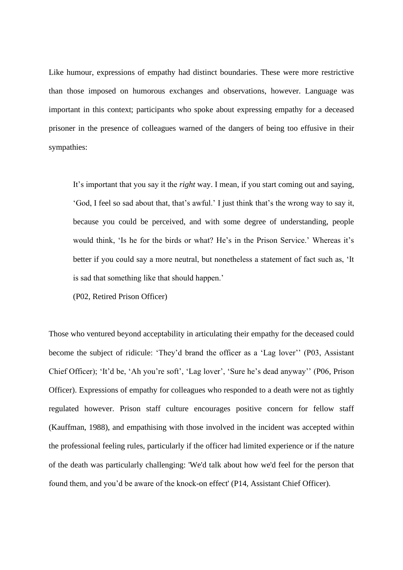Like humour, expressions of empathy had distinct boundaries. These were more restrictive than those imposed on humorous exchanges and observations, however. Language was important in this context; participants who spoke about expressing empathy for a deceased prisoner in the presence of colleagues warned of the dangers of being too effusive in their sympathies:

It's important that you say it the *right* way. I mean, if you start coming out and saying, 'God, I feel so sad about that, that's awful.' I just think that's the wrong way to say it, because you could be perceived, and with some degree of understanding, people would think, 'Is he for the birds or what? He's in the Prison Service.' Whereas it's better if you could say a more neutral, but nonetheless a statement of fact such as, 'It is sad that something like that should happen.'

(P02, Retired Prison Officer)

Those who ventured beyond acceptability in articulating their empathy for the deceased could become the subject of ridicule: 'They'd brand the officer as a 'Lag lover'' (P03, Assistant Chief Officer); 'It'd be, 'Ah you're soft', 'Lag lover', 'Sure he's dead anyway'' (P06, Prison Officer). Expressions of empathy for colleagues who responded to a death were not as tightly regulated however. Prison staff culture encourages positive concern for fellow staff (Kauffman, 1988), and empathising with those involved in the incident was accepted within the professional feeling rules, particularly if the officer had limited experience or if the nature of the death was particularly challenging: 'We'd talk about how we'd feel for the person that found them, and you'd be aware of the knock-on effect' (P14, Assistant Chief Officer).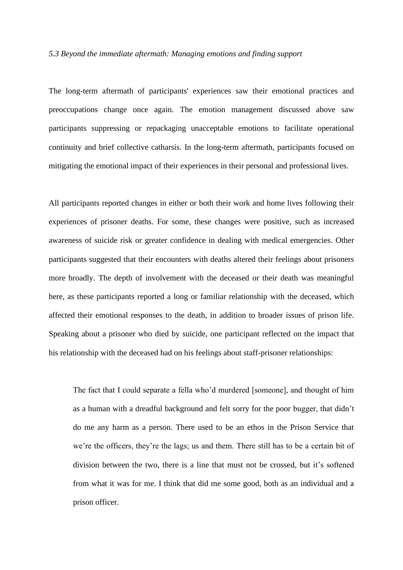### *5.3 Beyond the immediate aftermath: Managing emotions and finding support*

The long-term aftermath of participants' experiences saw their emotional practices and preoccupations change once again. The emotion management discussed above saw participants suppressing or repackaging unacceptable emotions to facilitate operational continuity and brief collective catharsis. In the long-term aftermath, participants focused on mitigating the emotional impact of their experiences in their personal and professional lives.

All participants reported changes in either or both their work and home lives following their experiences of prisoner deaths. For some, these changes were positive, such as increased awareness of suicide risk or greater confidence in dealing with medical emergencies. Other participants suggested that their encounters with deaths altered their feelings about prisoners more broadly. The depth of involvement with the deceased or their death was meaningful here, as these participants reported a long or familiar relationship with the deceased, which affected their emotional responses to the death, in addition to broader issues of prison life. Speaking about a prisoner who died by suicide, one participant reflected on the impact that his relationship with the deceased had on his feelings about staff-prisoner relationships:

The fact that I could separate a fella who'd murdered [someone], and thought of him as a human with a dreadful background and felt sorry for the poor bugger, that didn't do me any harm as a person. There used to be an ethos in the Prison Service that we're the officers, they're the lags; us and them. There still has to be a certain bit of division between the two, there is a line that must not be crossed, but it's softened from what it was for me. I think that did me some good, both as an individual and a prison officer.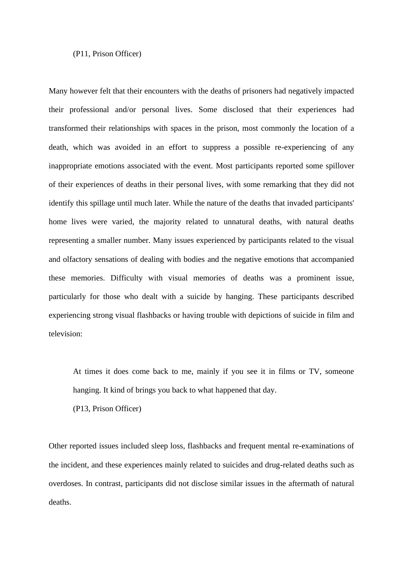#### (P11, Prison Officer)

Many however felt that their encounters with the deaths of prisoners had negatively impacted their professional and/or personal lives. Some disclosed that their experiences had transformed their relationships with spaces in the prison, most commonly the location of a death, which was avoided in an effort to suppress a possible re-experiencing of any inappropriate emotions associated with the event. Most participants reported some spillover of their experiences of deaths in their personal lives, with some remarking that they did not identify this spillage until much later. While the nature of the deaths that invaded participants' home lives were varied, the majority related to unnatural deaths, with natural deaths representing a smaller number. Many issues experienced by participants related to the visual and olfactory sensations of dealing with bodies and the negative emotions that accompanied these memories. Difficulty with visual memories of deaths was a prominent issue, particularly for those who dealt with a suicide by hanging. These participants described experiencing strong visual flashbacks or having trouble with depictions of suicide in film and television:

At times it does come back to me, mainly if you see it in films or TV, someone hanging. It kind of brings you back to what happened that day.

(P13, Prison Officer)

Other reported issues included sleep loss, flashbacks and frequent mental re-examinations of the incident, and these experiences mainly related to suicides and drug-related deaths such as overdoses. In contrast, participants did not disclose similar issues in the aftermath of natural deaths.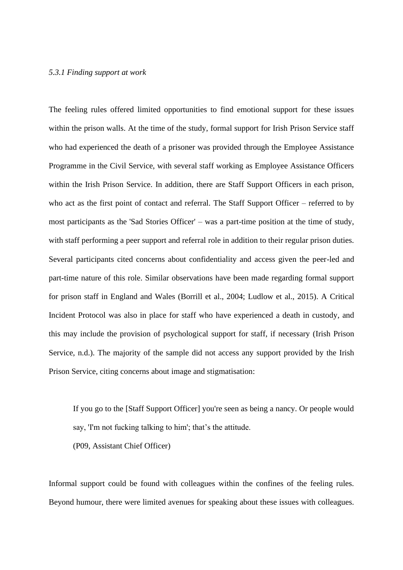#### *5.3.1 Finding support at work*

The feeling rules offered limited opportunities to find emotional support for these issues within the prison walls. At the time of the study, formal support for Irish Prison Service staff who had experienced the death of a prisoner was provided through the Employee Assistance Programme in the Civil Service, with several staff working as Employee Assistance Officers within the Irish Prison Service. In addition, there are Staff Support Officers in each prison, who act as the first point of contact and referral. The Staff Support Officer – referred to by most participants as the 'Sad Stories Officer' – was a part-time position at the time of study, with staff performing a peer support and referral role in addition to their regular prison duties. Several participants cited concerns about confidentiality and access given the peer-led and part-time nature of this role. Similar observations have been made regarding formal support for prison staff in England and Wales (Borrill et al., 2004; Ludlow et al., 2015). A Critical Incident Protocol was also in place for staff who have experienced a death in custody, and this may include the provision of psychological support for staff, if necessary (Irish Prison Service, n.d.). The majority of the sample did not access any support provided by the Irish Prison Service, citing concerns about image and stigmatisation:

If you go to the [Staff Support Officer] you're seen as being a nancy. Or people would say, 'I'm not fucking talking to him'; that's the attitude.

(P09, Assistant Chief Officer)

Informal support could be found with colleagues within the confines of the feeling rules. Beyond humour, there were limited avenues for speaking about these issues with colleagues.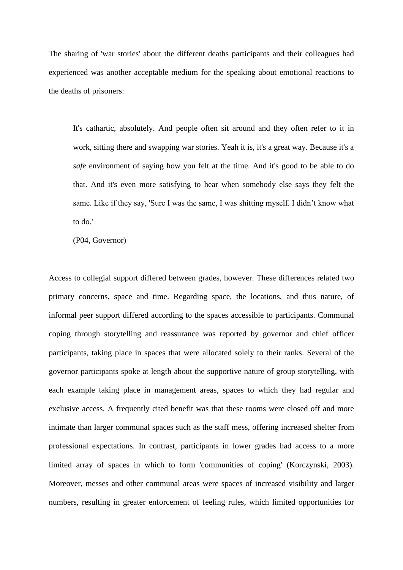The sharing of 'war stories' about the different deaths participants and their colleagues had experienced was another acceptable medium for the speaking about emotional reactions to the deaths of prisoners:

It's cathartic, absolutely. And people often sit around and they often refer to it in work, sitting there and swapping war stories. Yeah it is, it's a great way. Because it's a *safe* environment of saying how you felt at the time. And it's good to be able to do that. And it's even more satisfying to hear when somebody else says they felt the same. Like if they say, 'Sure I was the same, I was shitting myself. I didn't know what to do.'

(P04, Governor)

Access to collegial support differed between grades, however. These differences related two primary concerns, space and time. Regarding space, the locations, and thus nature, of informal peer support differed according to the spaces accessible to participants. Communal coping through storytelling and reassurance was reported by governor and chief officer participants, taking place in spaces that were allocated solely to their ranks. Several of the governor participants spoke at length about the supportive nature of group storytelling, with each example taking place in management areas, spaces to which they had regular and exclusive access. A frequently cited benefit was that these rooms were closed off and more intimate than larger communal spaces such as the staff mess, offering increased shelter from professional expectations. In contrast, participants in lower grades had access to a more limited array of spaces in which to form 'communities of coping' (Korczynski, 2003). Moreover, messes and other communal areas were spaces of increased visibility and larger numbers, resulting in greater enforcement of feeling rules, which limited opportunities for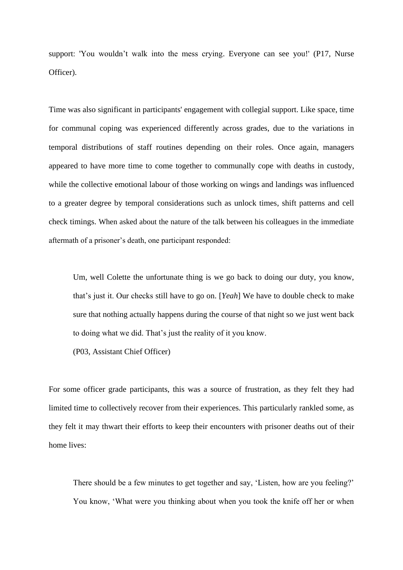support: 'You wouldn't walk into the mess crying. Everyone can see you!' (P17, Nurse Officer).

Time was also significant in participants' engagement with collegial support. Like space, time for communal coping was experienced differently across grades, due to the variations in temporal distributions of staff routines depending on their roles. Once again, managers appeared to have more time to come together to communally cope with deaths in custody, while the collective emotional labour of those working on wings and landings was influenced to a greater degree by temporal considerations such as unlock times, shift patterns and cell check timings. When asked about the nature of the talk between his colleagues in the immediate aftermath of a prisoner's death, one participant responded:

Um, well Colette the unfortunate thing is we go back to doing our duty, you know, that's just it. Our checks still have to go on. [*Yeah*] We have to double check to make sure that nothing actually happens during the course of that night so we just went back to doing what we did. That's just the reality of it you know.

(P03, Assistant Chief Officer)

For some officer grade participants, this was a source of frustration, as they felt they had limited time to collectively recover from their experiences. This particularly rankled some, as they felt it may thwart their efforts to keep their encounters with prisoner deaths out of their home lives:

There should be a few minutes to get together and say, 'Listen, how are you feeling?' You know, 'What were you thinking about when you took the knife off her or when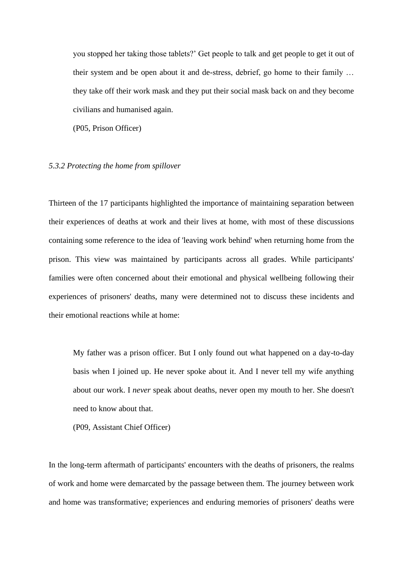you stopped her taking those tablets?' Get people to talk and get people to get it out of their system and be open about it and de-stress, debrief, go home to their family … they take off their work mask and they put their social mask back on and they become civilians and humanised again.

(P05, Prison Officer)

#### *5.3.2 Protecting the home from spillover*

Thirteen of the 17 participants highlighted the importance of maintaining separation between their experiences of deaths at work and their lives at home, with most of these discussions containing some reference to the idea of 'leaving work behind' when returning home from the prison. This view was maintained by participants across all grades. While participants' families were often concerned about their emotional and physical wellbeing following their experiences of prisoners' deaths, many were determined not to discuss these incidents and their emotional reactions while at home:

My father was a prison officer. But I only found out what happened on a day-to-day basis when I joined up. He never spoke about it. And I never tell my wife anything about our work. I *never* speak about deaths, never open my mouth to her. She doesn't need to know about that.

(P09, Assistant Chief Officer)

In the long-term aftermath of participants' encounters with the deaths of prisoners, the realms of work and home were demarcated by the passage between them. The journey between work and home was transformative; experiences and enduring memories of prisoners' deaths were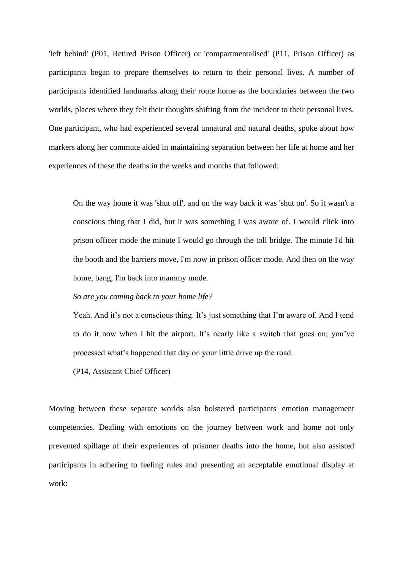'left behind' (P01, Retired Prison Officer) or 'compartmentalised' (P11, Prison Officer) as participants began to prepare themselves to return to their personal lives. A number of participants identified landmarks along their route home as the boundaries between the two worlds, places where they felt their thoughts shifting from the incident to their personal lives. One participant, who had experienced several unnatural and natural deaths, spoke about how markers along her commute aided in maintaining separation between her life at home and her experiences of these the deaths in the weeks and months that followed:

On the way home it was 'shut off', and on the way back it was 'shut on'. So it wasn't a conscious thing that I did, but it was something I was aware of. I would click into prison officer mode the minute I would go through the toll bridge. The minute I'd hit the booth and the barriers move, I'm now in prison officer mode. And then on the way home, bang, I'm back into mammy mode.

*So are you coming back to your home life?*

Yeah. And it's not a conscious thing. It's just something that I'm aware of. And I tend to do it now when I hit the airport. It's nearly like a switch that goes on; you've processed what's happened that day on your little drive up the road.

(P14, Assistant Chief Officer)

Moving between these separate worlds also bolstered participants' emotion management competencies. Dealing with emotions on the journey between work and home not only prevented spillage of their experiences of prisoner deaths into the home, but also assisted participants in adhering to feeling rules and presenting an acceptable emotional display at work: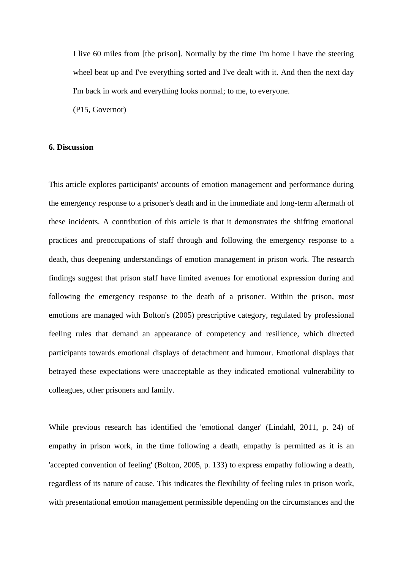I live 60 miles from [the prison]. Normally by the time I'm home I have the steering wheel beat up and I've everything sorted and I've dealt with it. And then the next day I'm back in work and everything looks normal; to me, to everyone. (P15, Governor)

### **6. Discussion**

This article explores participants' accounts of emotion management and performance during the emergency response to a prisoner's death and in the immediate and long-term aftermath of these incidents. A contribution of this article is that it demonstrates the shifting emotional practices and preoccupations of staff through and following the emergency response to a death, thus deepening understandings of emotion management in prison work. The research findings suggest that prison staff have limited avenues for emotional expression during and following the emergency response to the death of a prisoner. Within the prison, most emotions are managed with Bolton's (2005) prescriptive category, regulated by professional feeling rules that demand an appearance of competency and resilience, which directed participants towards emotional displays of detachment and humour. Emotional displays that betrayed these expectations were unacceptable as they indicated emotional vulnerability to colleagues, other prisoners and family.

While previous research has identified the 'emotional danger' (Lindahl, 2011, p. 24) of empathy in prison work, in the time following a death, empathy is permitted as it is an 'accepted convention of feeling' (Bolton, 2005, p. 133) to express empathy following a death, regardless of its nature of cause. This indicates the flexibility of feeling rules in prison work, with presentational emotion management permissible depending on the circumstances and the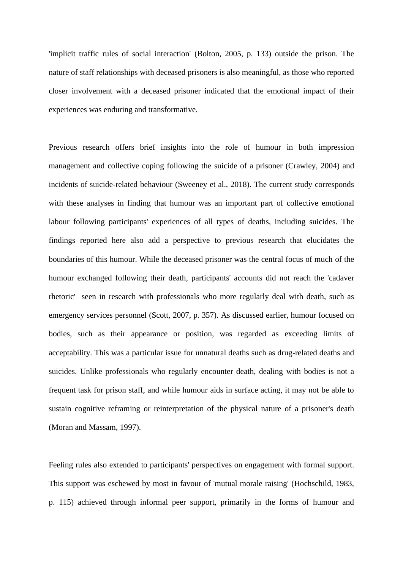'implicit traffic rules of social interaction' (Bolton, 2005, p. 133) outside the prison. The nature of staff relationships with deceased prisoners is also meaningful, as those who reported closer involvement with a deceased prisoner indicated that the emotional impact of their experiences was enduring and transformative.

Previous research offers brief insights into the role of humour in both impression management and collective coping following the suicide of a prisoner (Crawley, 2004) and incidents of suicide-related behaviour (Sweeney et al., 2018). The current study corresponds with these analyses in finding that humour was an important part of collective emotional labour following participants' experiences of all types of deaths, including suicides. The findings reported here also add a perspective to previous research that elucidates the boundaries of this humour. While the deceased prisoner was the central focus of much of the humour exchanged following their death, participants' accounts did not reach the 'cadaver rhetoric' seen in research with professionals who more regularly deal with death, such as emergency services personnel (Scott, 2007, p. 357). As discussed earlier, humour focused on bodies, such as their appearance or position, was regarded as exceeding limits of acceptability. This was a particular issue for unnatural deaths such as drug-related deaths and suicides. Unlike professionals who regularly encounter death, dealing with bodies is not a frequent task for prison staff, and while humour aids in surface acting, it may not be able to sustain cognitive reframing or reinterpretation of the physical nature of a prisoner's death (Moran and Massam, 1997).

Feeling rules also extended to participants' perspectives on engagement with formal support. This support was eschewed by most in favour of 'mutual morale raising' (Hochschild, 1983, p. 115) achieved through informal peer support, primarily in the forms of humour and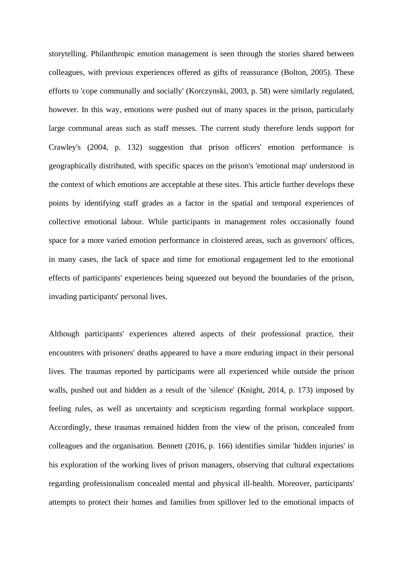storytelling. Philanthropic emotion management is seen through the stories shared between colleagues, with previous experiences offered as gifts of reassurance (Bolton, 2005). These efforts to 'cope communally and socially' (Korczynski, 2003, p. 58) were similarly regulated, however. In this way, emotions were pushed out of many spaces in the prison, particularly large communal areas such as staff messes. The current study therefore lends support for Crawley's (2004, p. 132) suggestion that prison officers' emotion performance is geographically distributed, with specific spaces on the prison's 'emotional map' understood in the context of which emotions are acceptable at these sites. This article further develops these points by identifying staff grades as a factor in the spatial and temporal experiences of collective emotional labour. While participants in management roles occasionally found space for a more varied emotion performance in cloistered areas, such as governors' offices, in many cases, the lack of space and time for emotional engagement led to the emotional effects of participants' experiences being squeezed out beyond the boundaries of the prison, invading participants' personal lives.

Although participants' experiences altered aspects of their professional practice, their encounters with prisoners' deaths appeared to have a more enduring impact in their personal lives. The traumas reported by participants were all experienced while outside the prison walls, pushed out and hidden as a result of the 'silence' (Knight, 2014, p. 173) imposed by feeling rules, as well as uncertainty and scepticism regarding formal workplace support. Accordingly, these traumas remained hidden from the view of the prison, concealed from colleagues and the organisation. Bennett (2016, p. 166) identifies similar 'hidden injuries' in his exploration of the working lives of prison managers, observing that cultural expectations regarding professionalism concealed mental and physical ill-health. Moreover, participants' attempts to protect their homes and families from spillover led to the emotional impacts of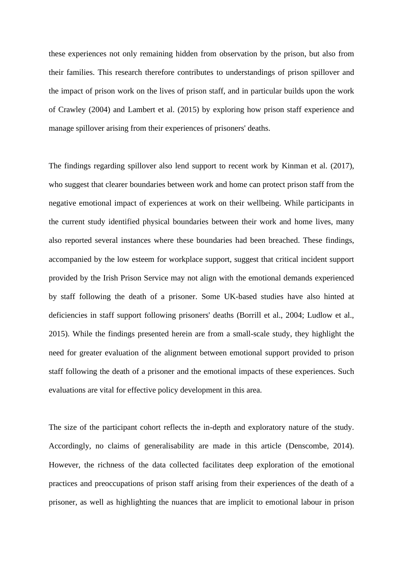these experiences not only remaining hidden from observation by the prison, but also from their families. This research therefore contributes to understandings of prison spillover and the impact of prison work on the lives of prison staff, and in particular builds upon the work of Crawley (2004) and Lambert et al. (2015) by exploring how prison staff experience and manage spillover arising from their experiences of prisoners' deaths.

The findings regarding spillover also lend support to recent work by Kinman et al. (2017), who suggest that clearer boundaries between work and home can protect prison staff from the negative emotional impact of experiences at work on their wellbeing. While participants in the current study identified physical boundaries between their work and home lives, many also reported several instances where these boundaries had been breached. These findings, accompanied by the low esteem for workplace support, suggest that critical incident support provided by the Irish Prison Service may not align with the emotional demands experienced by staff following the death of a prisoner. Some UK-based studies have also hinted at deficiencies in staff support following prisoners' deaths (Borrill et al., 2004; Ludlow et al., 2015). While the findings presented herein are from a small-scale study, they highlight the need for greater evaluation of the alignment between emotional support provided to prison staff following the death of a prisoner and the emotional impacts of these experiences. Such evaluations are vital for effective policy development in this area.

The size of the participant cohort reflects the in-depth and exploratory nature of the study. Accordingly, no claims of generalisability are made in this article (Denscombe, 2014). However, the richness of the data collected facilitates deep exploration of the emotional practices and preoccupations of prison staff arising from their experiences of the death of a prisoner, as well as highlighting the nuances that are implicit to emotional labour in prison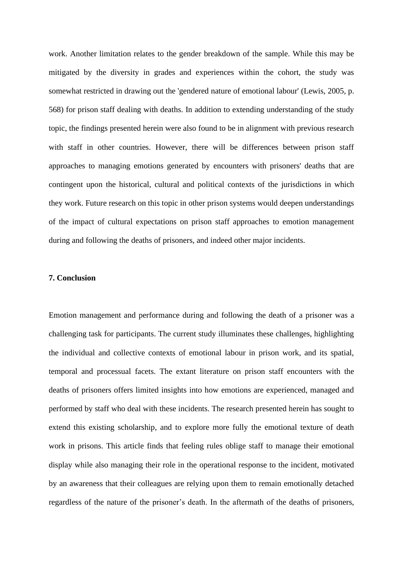work. Another limitation relates to the gender breakdown of the sample. While this may be mitigated by the diversity in grades and experiences within the cohort, the study was somewhat restricted in drawing out the 'gendered nature of emotional labour' (Lewis, 2005, p. 568) for prison staff dealing with deaths. In addition to extending understanding of the study topic, the findings presented herein were also found to be in alignment with previous research with staff in other countries. However, there will be differences between prison staff approaches to managing emotions generated by encounters with prisoners' deaths that are contingent upon the historical, cultural and political contexts of the jurisdictions in which they work. Future research on this topic in other prison systems would deepen understandings of the impact of cultural expectations on prison staff approaches to emotion management during and following the deaths of prisoners, and indeed other major incidents.

# **7. Conclusion**

Emotion management and performance during and following the death of a prisoner was a challenging task for participants. The current study illuminates these challenges, highlighting the individual and collective contexts of emotional labour in prison work, and its spatial, temporal and processual facets. The extant literature on prison staff encounters with the deaths of prisoners offers limited insights into how emotions are experienced, managed and performed by staff who deal with these incidents. The research presented herein has sought to extend this existing scholarship, and to explore more fully the emotional texture of death work in prisons. This article finds that feeling rules oblige staff to manage their emotional display while also managing their role in the operational response to the incident, motivated by an awareness that their colleagues are relying upon them to remain emotionally detached regardless of the nature of the prisoner's death. In the aftermath of the deaths of prisoners,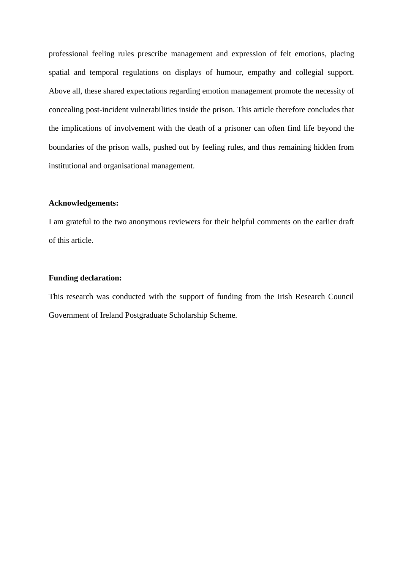professional feeling rules prescribe management and expression of felt emotions, placing spatial and temporal regulations on displays of humour, empathy and collegial support. Above all, these shared expectations regarding emotion management promote the necessity of concealing post-incident vulnerabilities inside the prison. This article therefore concludes that the implications of involvement with the death of a prisoner can often find life beyond the boundaries of the prison walls, pushed out by feeling rules, and thus remaining hidden from institutional and organisational management.

# **Acknowledgements:**

I am grateful to the two anonymous reviewers for their helpful comments on the earlier draft of this article.

## **Funding declaration:**

This research was conducted with the support of funding from the Irish Research Council Government of Ireland Postgraduate Scholarship Scheme.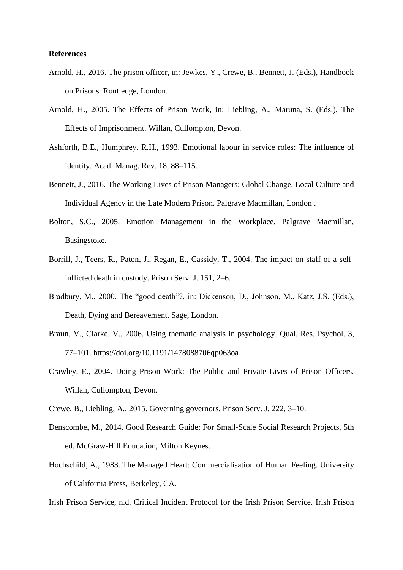### **References**

- Arnold, H., 2016. The prison officer, in: Jewkes, Y., Crewe, B., Bennett, J. (Eds.), Handbook on Prisons. Routledge, London.
- Arnold, H., 2005. The Effects of Prison Work, in: Liebling, A., Maruna, S. (Eds.), The Effects of Imprisonment. Willan, Cullompton, Devon.
- Ashforth, B.E., Humphrey, R.H., 1993. Emotional labour in service roles: The influence of identity. Acad. Manag. Rev. 18, 88–115.
- Bennett, J., 2016. The Working Lives of Prison Managers: Global Change, Local Culture and Individual Agency in the Late Modern Prison. Palgrave Macmillan, London .
- Bolton, S.C., 2005. Emotion Management in the Workplace. Palgrave Macmillan, Basingstoke.
- Borrill, J., Teers, R., Paton, J., Regan, E., Cassidy, T., 2004. The impact on staff of a selfinflicted death in custody. Prison Serv. J. 151, 2–6.
- Bradbury, M., 2000. The "good death"?, in: Dickenson, D., Johnson, M., Katz, J.S. (Eds.), Death, Dying and Bereavement. Sage, London.
- Braun, V., Clarke, V., 2006. Using thematic analysis in psychology. Qual. Res. Psychol. 3, 77–101. https://doi.org/10.1191/1478088706qp063oa
- Crawley, E., 2004. Doing Prison Work: The Public and Private Lives of Prison Officers. Willan, Cullompton, Devon.
- Crewe, B., Liebling, A., 2015. Governing governors. Prison Serv. J. 222, 3–10.
- Denscombe, M., 2014. Good Research Guide: For Small-Scale Social Research Projects, 5th ed. McGraw-Hill Education, Milton Keynes.
- Hochschild, A., 1983. The Managed Heart: Commercialisation of Human Feeling. University of California Press, Berkeley, CA.

Irish Prison Service, n.d. Critical Incident Protocol for the Irish Prison Service. Irish Prison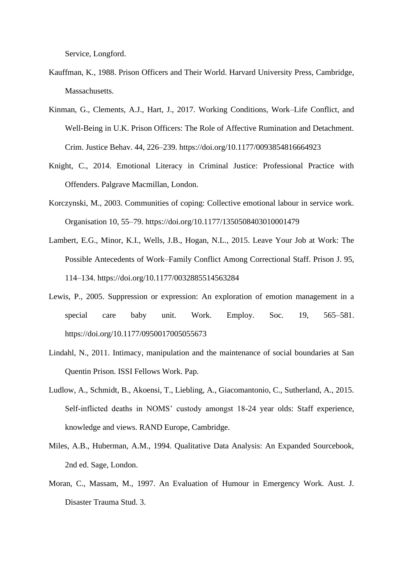Service, Longford.

- Kauffman, K., 1988. Prison Officers and Their World. Harvard University Press, Cambridge, Massachusetts.
- Kinman, G., Clements, A.J., Hart, J., 2017. Working Conditions, Work–Life Conflict, and Well-Being in U.K. Prison Officers: The Role of Affective Rumination and Detachment. Crim. Justice Behav. 44, 226–239. https://doi.org/10.1177/0093854816664923
- Knight, C., 2014. Emotional Literacy in Criminal Justice: Professional Practice with Offenders. Palgrave Macmillan, London.
- Korczynski, M., 2003. Communities of coping: Collective emotional labour in service work. Organisation 10, 55–79. https://doi.org/10.1177/1350508403010001479
- Lambert, E.G., Minor, K.I., Wells, J.B., Hogan, N.L., 2015. Leave Your Job at Work: The Possible Antecedents of Work–Family Conflict Among Correctional Staff. Prison J. 95, 114–134. https://doi.org/10.1177/0032885514563284
- Lewis, P., 2005. Suppression or expression: An exploration of emotion management in a special care baby unit. Work. Employ. Soc. 19, 565–581. https://doi.org/10.1177/0950017005055673
- Lindahl, N., 2011. Intimacy, manipulation and the maintenance of social boundaries at San Quentin Prison. ISSI Fellows Work. Pap.
- Ludlow, A., Schmidt, B., Akoensi, T., Liebling, A., Giacomantonio, C., Sutherland, A., 2015. Self-inflicted deaths in NOMS' custody amongst 18-24 year olds: Staff experience, knowledge and views. RAND Europe, Cambridge.
- Miles, A.B., Huberman, A.M., 1994. Qualitative Data Analysis: An Expanded Sourcebook, 2nd ed. Sage, London.
- Moran, C., Massam, M., 1997. An Evaluation of Humour in Emergency Work. Aust. J. Disaster Trauma Stud. 3.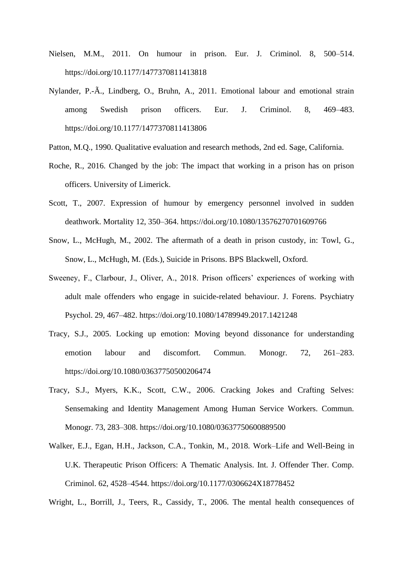- Nielsen, M.M., 2011. On humour in prison. Eur. J. Criminol. 8, 500–514. https://doi.org/10.1177/1477370811413818
- Nylander, P.-Ã., Lindberg, O., Bruhn, A., 2011. Emotional labour and emotional strain among Swedish prison officers. Eur. J. Criminol. 8, 469–483. https://doi.org/10.1177/1477370811413806
- Patton, M.Q., 1990. Qualitative evaluation and research methods, 2nd ed. Sage, California.
- Roche, R., 2016. Changed by the job: The impact that working in a prison has on prison officers. University of Limerick.
- Scott, T., 2007. Expression of humour by emergency personnel involved in sudden deathwork. Mortality 12, 350–364. https://doi.org/10.1080/13576270701609766
- Snow, L., McHugh, M., 2002. The aftermath of a death in prison custody, in: Towl, G., Snow, L., McHugh, M. (Eds.), Suicide in Prisons. BPS Blackwell, Oxford.
- Sweeney, F., Clarbour, J., Oliver, A., 2018. Prison officers' experiences of working with adult male offenders who engage in suicide-related behaviour. J. Forens. Psychiatry Psychol. 29, 467–482. https://doi.org/10.1080/14789949.2017.1421248
- Tracy, S.J., 2005. Locking up emotion: Moving beyond dissonance for understanding emotion labour and discomfort. Commun. Monogr. 72, 261–283. https://doi.org/10.1080/03637750500206474
- Tracy, S.J., Myers, K.K., Scott, C.W., 2006. Cracking Jokes and Crafting Selves: Sensemaking and Identity Management Among Human Service Workers. Commun. Monogr. 73, 283–308. https://doi.org/10.1080/03637750600889500
- Walker, E.J., Egan, H.H., Jackson, C.A., Tonkin, M., 2018. Work–Life and Well-Being in U.K. Therapeutic Prison Officers: A Thematic Analysis. Int. J. Offender Ther. Comp. Criminol. 62, 4528–4544. https://doi.org/10.1177/0306624X18778452

Wright, L., Borrill, J., Teers, R., Cassidy, T., 2006. The mental health consequences of